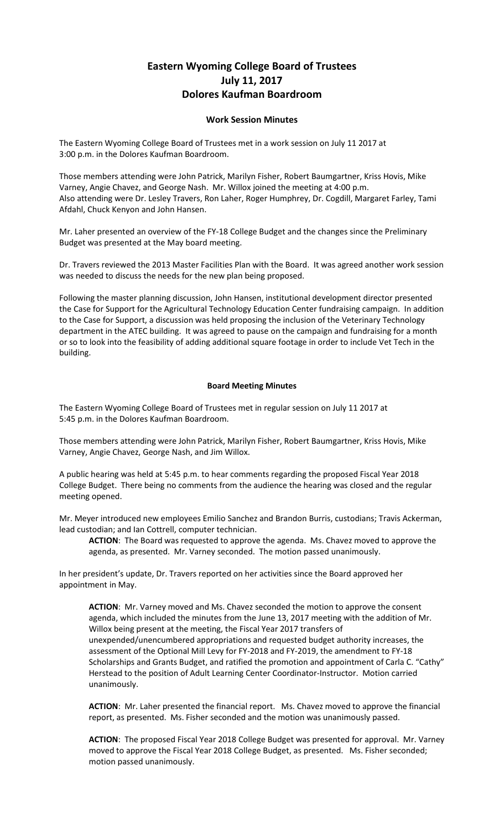## **Eastern Wyoming College Board of Trustees July 11, 2017 Dolores Kaufman Boardroom**

## **Work Session Minutes**

The Eastern Wyoming College Board of Trustees met in a work session on July 11 2017 at 3:00 p.m. in the Dolores Kaufman Boardroom.

Those members attending were John Patrick, Marilyn Fisher, Robert Baumgartner, Kriss Hovis, Mike Varney, Angie Chavez, and George Nash. Mr. Willox joined the meeting at 4:00 p.m. Also attending were Dr. Lesley Travers, Ron Laher, Roger Humphrey, Dr. Cogdill, Margaret Farley, Tami Afdahl, Chuck Kenyon and John Hansen.

Mr. Laher presented an overview of the FY-18 College Budget and the changes since the Preliminary Budget was presented at the May board meeting.

Dr. Travers reviewed the 2013 Master Facilities Plan with the Board. It was agreed another work session was needed to discuss the needs for the new plan being proposed.

Following the master planning discussion, John Hansen, institutional development director presented the Case for Support for the Agricultural Technology Education Center fundraising campaign. In addition to the Case for Support, a discussion was held proposing the inclusion of the Veterinary Technology department in the ATEC building. It was agreed to pause on the campaign and fundraising for a month or so to look into the feasibility of adding additional square footage in order to include Vet Tech in the building.

## **Board Meeting Minutes**

The Eastern Wyoming College Board of Trustees met in regular session on July 11 2017 at 5:45 p.m. in the Dolores Kaufman Boardroom.

Those members attending were John Patrick, Marilyn Fisher, Robert Baumgartner, Kriss Hovis, Mike Varney, Angie Chavez, George Nash, and Jim Willox.

A public hearing was held at 5:45 p.m. to hear comments regarding the proposed Fiscal Year 2018 College Budget. There being no comments from the audience the hearing was closed and the regular meeting opened.

Mr. Meyer introduced new employees Emilio Sanchez and Brandon Burris, custodians; Travis Ackerman, lead custodian; and Ian Cottrell, computer technician.

**ACTION**: The Board was requested to approve the agenda. Ms. Chavez moved to approve the agenda, as presented. Mr. Varney seconded. The motion passed unanimously.

In her president's update, Dr. Travers reported on her activities since the Board approved her appointment in May.

**ACTION**: Mr. Varney moved and Ms. Chavez seconded the motion to approve the consent agenda, which included the minutes from the June 13, 2017 meeting with the addition of Mr. Willox being present at the meeting, the Fiscal Year 2017 transfers of unexpended/unencumbered appropriations and requested budget authority increases, the assessment of the Optional Mill Levy for FY-2018 and FY-2019, the amendment to FY-18 Scholarships and Grants Budget, and ratified the promotion and appointment of Carla C. "Cathy" Herstead to the position of Adult Learning Center Coordinator-Instructor. Motion carried unanimously.

**ACTION**: Mr. Laher presented the financial report. Ms. Chavez moved to approve the financial report, as presented. Ms. Fisher seconded and the motion was unanimously passed.

**ACTION**: The proposed Fiscal Year 2018 College Budget was presented for approval. Mr. Varney moved to approve the Fiscal Year 2018 College Budget, as presented. Ms. Fisher seconded; motion passed unanimously.